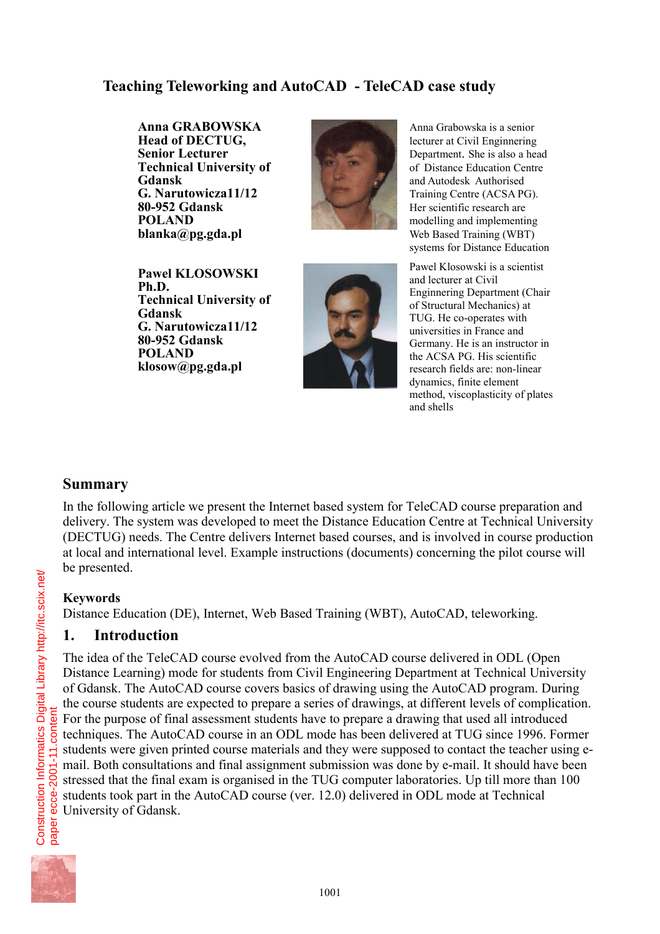# **Teaching Teleworking and AutoCAD - TeleCAD case study**

**Anna GRABOWSKA Head of DECTUG, Senior Lecturer Technical University of Gdansk G. Narutowicza11/12 80-952 Gdansk POLAND blanka@pg.gda.pl**



Anna Grabowska is a senior lecturer at Civil Enginnering Department. She is also a head of Distance Education Centre and Autodesk Authorised Training Centre (ACSA PG). Her scientific research are modelling and implementing Web Based Training (WBT) systems for Distance Education

**Pawel KLOSOWSKI Ph.D. Technical University of Gdansk G. Narutowicza11/12 80-952 Gdansk POLAND klosow@pg.gda.pl**



Pawel Klosowski is a scientist and lecturer at Civil Enginnering Department (Chair of Structural Mechanics) at TUG. He co-operates with universities in France and Germany. He is an instructor in the ACSA PG. His scientific research fields are: non-linear dynamics, finite element method, viscoplasticity of plates and shells

## **Summary**

In the following article we present the Internet based system for TeleCAD course preparation and delivery. The system was developed to meet the Distance Education Centre at Technical University (DECTUG) needs. The Centre delivers Internet based courses, and is involved in course production at local and international level. Example instructions (documents) concerning the pilot course will be presented.

## **Keywords**

Distance Education (DE), Internet, Web Based Training (WBT), AutoCAD, teleworking.

## **1. Introduction**

The idea of the TeleCAD course evolved from the AutoCAD course delivered in ODL (Open Distance Learning) mode for students from Civil Engineering Department at Technical University of Gdansk. The AutoCAD course covers basics of drawing using the AutoCAD program. During the course students are expected to prepare a series of drawings, at different levels of complication. For the purpose of final assessment students have to prepare a drawing that used all introduced techniques. The AutoCAD course in an ODL mode has been delivered at TUG since 1996. Former students were given printed course materials and they were supposed to contact the teacher using email. Both consultations and final assignment submission was done by e-mail. It should have been stressed that the final exam is organised in the TUG computer laboratories. Up till more than 100 students took part in the AutoCAD course (ver. 12.0) delivered in ODL mode at Technical University of Gdansk.



Construction Informatics Digital Library http://itc.scix.net/<br>paper ecce-2001-11.content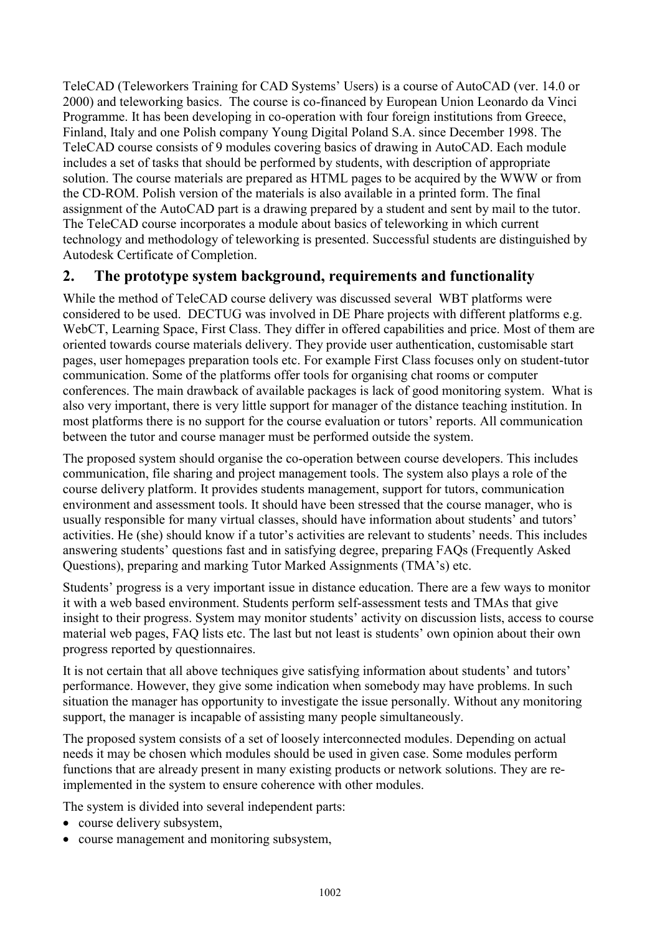TeleCAD (Teleworkers Training for CAD Systems' Users) is a course of AutoCAD (ver. 14.0 or 2000) and teleworking basics. The course is co-financed by European Union Leonardo da Vinci Programme. It has been developing in co-operation with four foreign institutions from Greece, Finland, Italy and one Polish company Young Digital Poland S.A. since December 1998. The TeleCAD course consists of 9 modules covering basics of drawing in AutoCAD. Each module includes a set of tasks that should be performed by students, with description of appropriate solution. The course materials are prepared as HTML pages to be acquired by the WWW or from the CD-ROM. Polish version of the materials is also available in a printed form. The final assignment of the AutoCAD part is a drawing prepared by a student and sent by mail to the tutor. The TeleCAD course incorporates a module about basics of teleworking in which current technology and methodology of teleworking is presented. Successful students are distinguished by Autodesk Certificate of Completion.

# **2. The prototype system background, requirements and functionality**

While the method of TeleCAD course delivery was discussed several WBT platforms were considered to be used. DECTUG was involved in DE Phare projects with different platforms e.g. WebCT, Learning Space, First Class. They differ in offered capabilities and price. Most of them are oriented towards course materials delivery. They provide user authentication, customisable start pages, user homepages preparation tools etc. For example First Class focuses only on student-tutor communication. Some of the platforms offer tools for organising chat rooms or computer conferences. The main drawback of available packages is lack of good monitoring system. What is also very important, there is very little support for manager of the distance teaching institution. In most platforms there is no support for the course evaluation or tutors' reports. All communication between the tutor and course manager must be performed outside the system.

The proposed system should organise the co-operation between course developers. This includes communication, file sharing and project management tools. The system also plays a role of the course delivery platform. It provides students management, support for tutors, communication environment and assessment tools. It should have been stressed that the course manager, who is usually responsible for many virtual classes, should have information about students' and tutors' activities. He (she) should know if a tutor's activities are relevant to students' needs. This includes answering students' questions fast and in satisfying degree, preparing FAQs (Frequently Asked Questions), preparing and marking Tutor Marked Assignments (TMA's) etc.

Students' progress is a very important issue in distance education. There are a few ways to monitor it with a web based environment. Students perform self-assessment tests and TMAs that give insight to their progress. System may monitor students' activity on discussion lists, access to course material web pages, FAQ lists etc. The last but not least is students' own opinion about their own progress reported by questionnaires.

It is not certain that all above techniques give satisfying information about students' and tutors' performance. However, they give some indication when somebody may have problems. In such situation the manager has opportunity to investigate the issue personally. Without any monitoring support, the manager is incapable of assisting many people simultaneously.

The proposed system consists of a set of loosely interconnected modules. Depending on actual needs it may be chosen which modules should be used in given case. Some modules perform functions that are already present in many existing products or network solutions. They are reimplemented in the system to ensure coherence with other modules.

The system is divided into several independent parts:

- course delivery subsystem,
- course management and monitoring subsystem,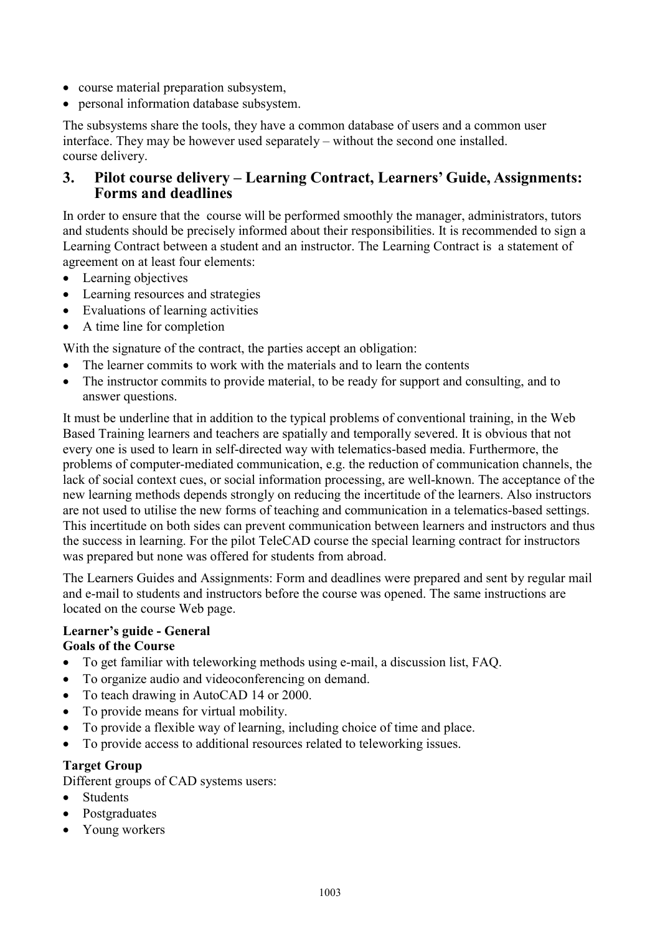- course material preparation subsystem,
- personal information database subsystem.

The subsystems share the tools, they have a common database of users and a common user interface. They may be however used separately – without the second one installed. course delivery.

## **3. Pilot course delivery – Learning Contract, Learners' Guide, Assignments: Forms and deadlines**

In order to ensure that the course will be performed smoothly the manager, administrators, tutors and students should be precisely informed about their responsibilities. It is recommended to sign a Learning Contract between a student and an instructor. The Learning Contract is a statement of agreement on at least four elements:

- Learning objectives
- Learning resources and strategies
- Evaluations of learning activities
- A time line for completion

With the signature of the contract, the parties accept an obligation:

- The learner commits to work with the materials and to learn the contents
- The instructor commits to provide material, to be ready for support and consulting, and to answer questions.

It must be underline that in addition to the typical problems of conventional training, in the Web Based Training learners and teachers are spatially and temporally severed. It is obvious that not every one is used to learn in self-directed way with telematics-based media. Furthermore, the problems of computer-mediated communication, e.g. the reduction of communication channels, the lack of social context cues, or social information processing, are well-known. The acceptance of the new learning methods depends strongly on reducing the incertitude of the learners. Also instructors are not used to utilise the new forms of teaching and communication in a telematics-based settings. This incertitude on both sides can prevent communication between learners and instructors and thus the success in learning. For the pilot TeleCAD course the special learning contract for instructors was prepared but none was offered for students from abroad.

The Learners Guides and Assignments: Form and deadlines were prepared and sent by regular mail and e-mail to students and instructors before the course was opened. The same instructions are located on the course Web page.

#### **Learner's guide - General Goals of the Course**

- To get familiar with teleworking methods using e-mail, a discussion list, FAQ.
- To organize audio and videoconferencing on demand.
- To teach drawing in AutoCAD 14 or 2000.
- To provide means for virtual mobility.
- To provide a flexible way of learning, including choice of time and place.
- To provide access to additional resources related to teleworking issues.

### **Target Group**

Different groups of CAD systems users:

- **Students**
- Postgraduates
- Young workers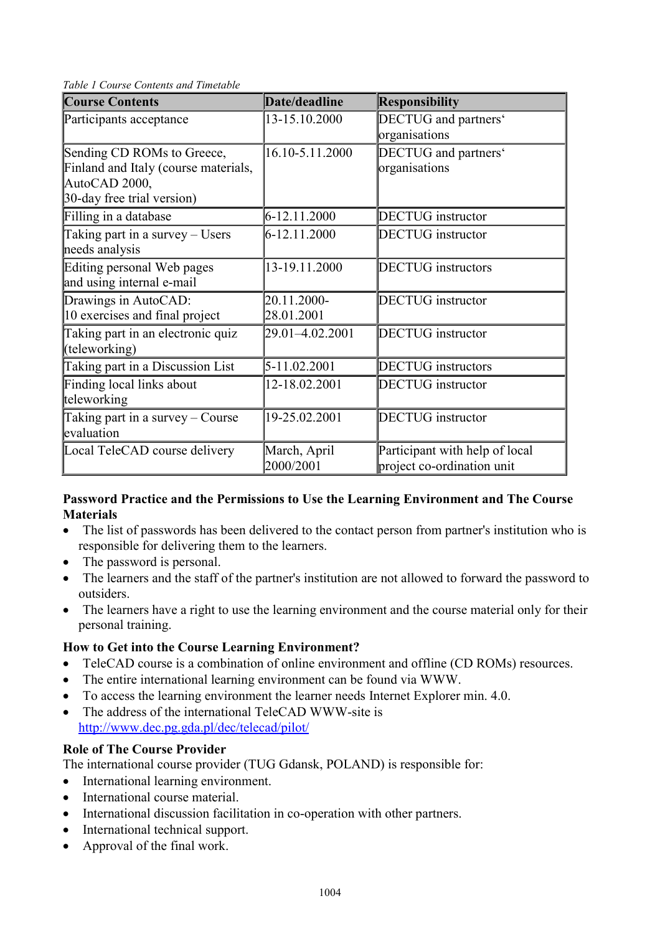*Table 1 Course Contents and Timetable*

| <b>Course Contents</b>                                                                                            | Date/deadline             | <b>Responsibility</b>                                        |
|-------------------------------------------------------------------------------------------------------------------|---------------------------|--------------------------------------------------------------|
| Participants acceptance                                                                                           | 13-15.10.2000             | DECTUG and partners'<br>organisations                        |
| Sending CD ROMs to Greece,<br>Finland and Italy (course materials,<br>AutoCAD 2000,<br>30-day free trial version) | 16.10-5.11.2000           | DECTUG and partners'<br>organisations                        |
| Filling in a database                                                                                             | 6-12.11.2000              | <b>DECTUG</b> instructor                                     |
| Taking part in a survey - Users<br>needs analysis                                                                 | 6-12.11.2000              | <b>DECTUG</b> instructor                                     |
| Editing personal Web pages<br>and using internal e-mail                                                           | 13-19.11.2000             | <b>DECTUG</b> instructors                                    |
| Drawings in AutoCAD:<br>10 exercises and final project                                                            | 20.11.2000-<br>28.01.2001 | <b>DECTUG</b> instructor                                     |
| Taking part in an electronic quiz<br>(teleworking)                                                                | 29.01-4.02.2001           | <b>DECTUG</b> instructor                                     |
| Taking part in a Discussion List                                                                                  | 5-11.02.2001              | <b>DECTUG</b> instructors                                    |
| Finding local links about<br>teleworking                                                                          | 12-18.02.2001             | <b>DECTUG</b> instructor                                     |
| Taking part in a survey – Course<br>evaluation                                                                    | 19-25.02.2001             | <b>DECTUG</b> instructor                                     |
| Local TeleCAD course delivery                                                                                     | March, April<br>2000/2001 | Participant with help of local<br>project co-ordination unit |

### **Password Practice and the Permissions to Use the Learning Environment and The Course Materials**

- The list of passwords has been delivered to the contact person from partner's institution who is responsible for delivering them to the learners.
- The password is personal.
- The learners and the staff of the partner's institution are not allowed to forward the password to outsiders.
- The learners have a right to use the learning environment and the course material only for their personal training.

### **How to Get into the Course Learning Environment?**

- TeleCAD course is a combination of online environment and offline (CD ROMs) resources.
- The entire international learning environment can be found via WWW.
- To access the learning environment the learner needs Internet Explorer min. 4.0.
- The address of the international TeleCAD WWW-site is http://www.dec.pg.gda.pl/dec/telecad/pilot/

## **Role of The Course Provider**

The international course provider (TUG Gdansk, POLAND) is responsible for:

- International learning environment.
- International course material
- International discussion facilitation in co-operation with other partners.
- International technical support.
- Approval of the final work.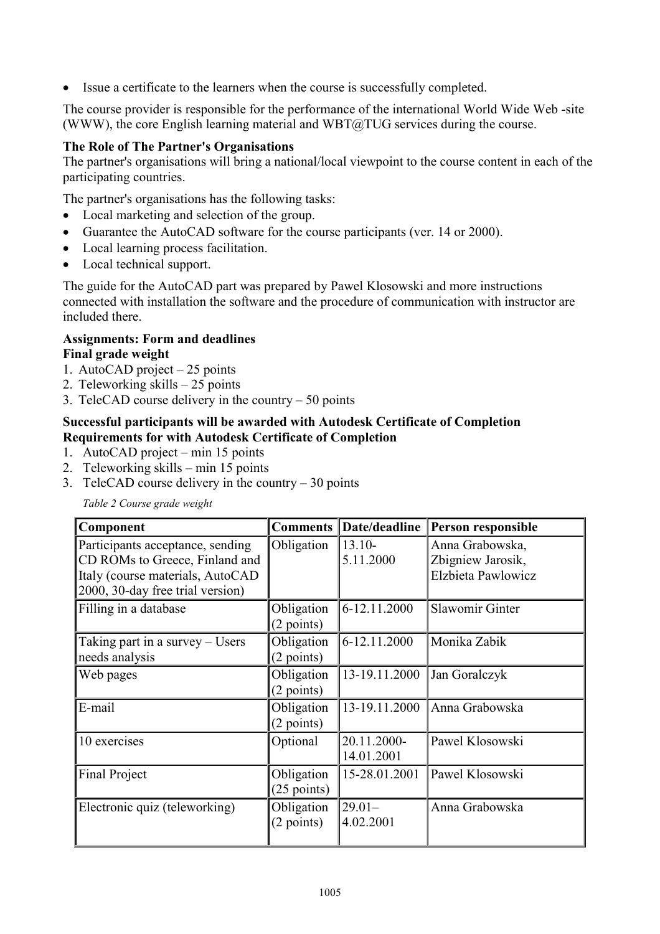Issue a certificate to the learners when the course is successfully completed.

The course provider is responsible for the performance of the international World Wide Web -site (WWW), the core English learning material and  $WBT@TUG$  services during the course.

#### **The Role of The Partner's Organisations**

The partner's organisations will bring a national/local viewpoint to the course content in each of the participating countries.

The partner's organisations has the following tasks:

- Local marketing and selection of the group.
- Guarantee the AutoCAD software for the course participants (ver. 14 or 2000).
- Local learning process facilitation.
- Local technical support.

The guide for the AutoCAD part was prepared by Pawel Klosowski and more instructions connected with installation the software and the procedure of communication with instructor are included there.

#### **Assignments: Form and deadlines Final grade weight**

- 1. AutoCAD project 25 points
- 2. Teleworking skills 25 points
- 3. TeleCAD course delivery in the country 50 points

#### **Successful participants will be awarded with Autodesk Certificate of Completion Requirements for with Autodesk Certificate of Completion**

- 1. AutoCAD project min 15 points
- 2. Teleworking skills min 15 points
- 3. TeleCAD course delivery in the country  $-30$  points

*Table 2 Course grade weight*

| Component                        | <b>Comments</b>      | Date/deadline | Person responsible |
|----------------------------------|----------------------|---------------|--------------------|
| Participants acceptance, sending | Obligation           | $13.10-$      | Anna Grabowska,    |
| CD ROMs to Greece, Finland and   |                      | 5.11.2000     | Zbigniew Jarosik,  |
| Italy (course materials, AutoCAD |                      |               | Elzbieta Pawlowicz |
| 2000, 30-day free trial version) |                      |               |                    |
| Filling in a database            | Obligation           | 6-12.11.2000  | Slawomir Ginter    |
|                                  | $(2 \text{ points})$ |               |                    |
| Taking part in a survey – Users  | Obligation           | 6-12.11.2000  | Monika Zabik       |
| needs analysis                   | (2 points)           |               |                    |
| Web pages                        | Obligation           | 13-19.11.2000 | Jan Goralczyk      |
|                                  | $(2$ points)         |               |                    |
| E-mail                           | Obligation           | 13-19.11.2000 | Anna Grabowska     |
|                                  | $(2$ points)         |               |                    |
| 10 exercises                     | Optional             | 20.11.2000-   | Pawel Klosowski    |
|                                  |                      | 14.01.2001    |                    |
| <b>Final Project</b>             | Obligation           | 15-28.01.2001 | Pawel Klosowski    |
|                                  | $(25$ points)        |               |                    |
| Electronic quiz (teleworking)    | Obligation           | $29.01 -$     | Anna Grabowska     |
|                                  | $(2 \text{ points})$ | 4.02.2001     |                    |
|                                  |                      |               |                    |